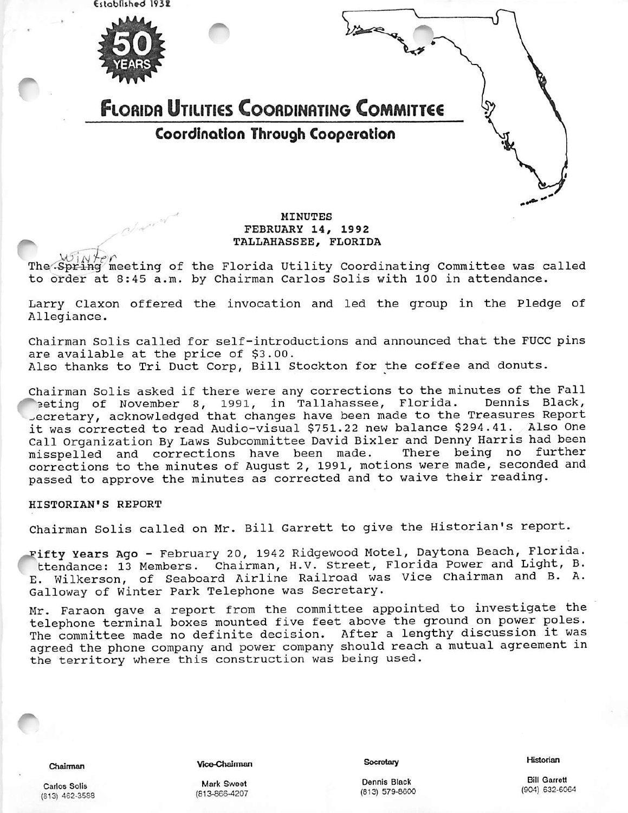Established 1938



# **FLORIDA UTILITIES COORDINATING COMMITTEE** Coordination Through Cooporotlon

# MINUTES FEBRUARY 14/ 1992 FEBRUARY 14, 1992<br>TALLAHASSEE, FLORIDA<br>MOINTER CONTRACT TALLAHASSEE, FLORIDA

The Spring meeting of the Florida Utility Coordinating Committee was called to order at 8:45 a.m. by Chairman Carlos Solis with 100 in attendance.

Larry Claxon offered the invocation and led the group in the Pledge of Allegiance.

Chairman Solis called for self-introductions and announced that the FUCC pins are available at the price of \$3.00. Also thanks to Tri Duct Corp, Bill Stockton for the coffee and donuts.

Chairman Solis asked if there were any corrections to the minutes of the Fall eting of November 8, 1991, in Tallahassee, Florida. Dennis Black, Jecretary, acknowledged that changes have been made to the Treasures Report it was corrected to read Audio-visual \$751.22 new balance \$294.41. Also One Call Organization By Laws Subcommittee David Bixler and Denny Harris had been<br>misspelled and corrections have been made. There being no further misspelled and corrections have been made. corrections to the minutes of August 2, 1991, motions were made, seconded and passed to approve the minutes as corrected and to waive their reading.

#### HISTORIAN'S REPORT

Chairman Solis called on Mr. Bill Garrett to give the Historian's report.

Fifty Years Ago - February 20, 1942 Ridgewood Motel, Daytona Beach, Florida. ttendance: 13 Members. Chairman, H.V. Street, Florida Power and Light, B. E. Wilkerson, of Seaboard Airline Railroad was Vice Chairman and B. A. Galloway of Winter Park Telephone was Secretary.

Mr. Faraon gave a report from the committee appointed to investigate the telephone terminal boxes mounted five feet above the ground on power poles. The committee made no definite decision. After a lengthy discussion it was agreed the phone company and power company should reach a mutual agreement in the territory where this construction was being used.

Vice-Chairman

(813.S6e-4207

**Secretary** 

Historian

Dennis Black (813) 579.8600

Bill Garrett (904) 632.6064

Carlos Soils (513) 462-3S88

Chairman

Mark Sweet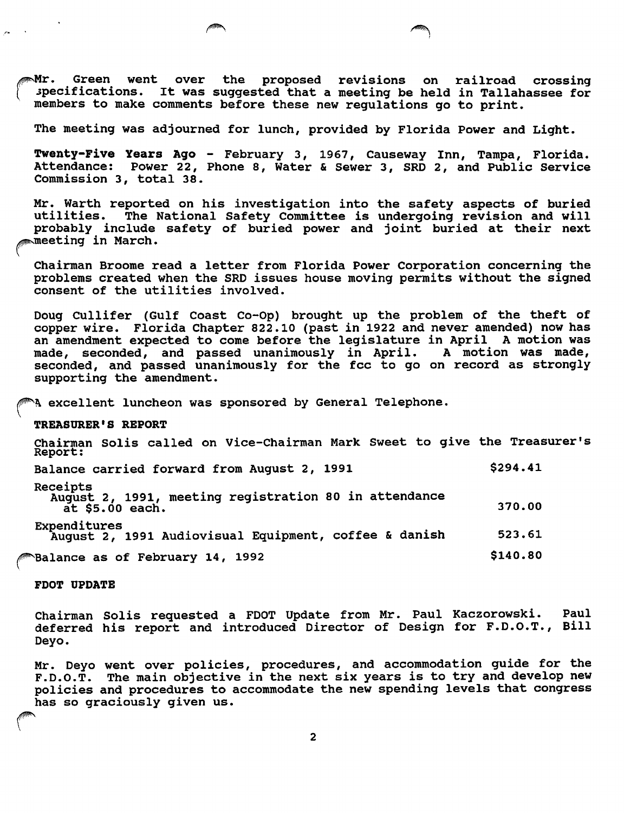$\mathbb{M}$ r. Green went over the proposed revisions on railroad crossing specifications. It was suggested that a meeting be held in Tallahassee for members to make comments before these new regulations go to print.

The meeting was adjourned for lunch, provided by Florida Power and Light.

Twenty-Five Years Ago - February 3, 1967, Causeway Inn, Tampa, Florida. Attendance: Power 22, Phone 8, Water & Sewer 3, SRD 2, and Public Service Commission 3, total 38.

Mr. Warth reported on his investigation into the safety aspects of buried utilities. The National Safety Committee is undergoing revision and will probably include safety of buried power and joint buried at their next<br>meeting in March.

Chairman Broome read a letter from Florida Power Corporation concerning the problems created when the SRD issues house moving permits without the signed consent of the utilities involved.

Doug Cullifer (Gulf Coast Co-Op) brought up the problem of the theft of copper wire. Florida Chapter 822.10 (past in 1922 and never amended) now has an amendment expected to come before the legislature in April A motion was made, seconded, and passed unanimously in April. A motion was made, seconded, and passed unanimously for the fee to go on record as strongly supporting the amendment.

excellent luncheon was sponsored by General Telephone.

#### TREASURER'S REPORT

 $\sim$ 

Chairman Solis called on Vice-Chairraan Mark Sweet to give the Treasurer's Report: Balance carried forward from August 2, 1991 \$294.41 Receipts August 2, 1991, meeting registration 80 in attendance  $\frac{1}{2}$  at \$5.00 each. 370.00 Expenditures August 2, 1991 Audiovisual Equipment, coffee & danish 523.61  $\texttt{Balance as of February 14, 1992} \tag{3140.80}$ 

FDOT UPDATE

Chairman Solis requested a FDOT Update from Mr. Paul Kaczorowski. Paul deferred his report and introduced Director of Design for F.D.O.T., Bill Deyo.

Mr. Deyo went over policies, procedures, and accommodation guide for the F.D.O.T. The main objective in the next six years is to try and develop new policies and procedures to accommodate the new spending levels that congress has so graciously given us.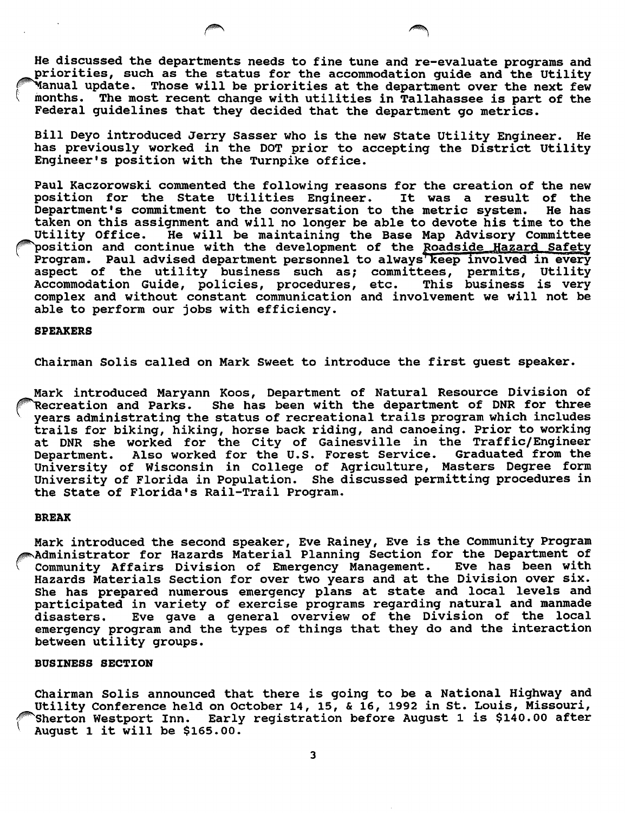He discussed the departments needs to fine tune and re-evaluate programs and priorities, such as the status for the accommodation guide and the Utility 'Manual update. Those will be priorities at the department over the next few months. The most recent change with utilities in Tallahassee is part of the Federal guidelines that they decided that the department go metrics.

Bill Deyo introduced Jerry Sasser who is the new State Utility Engineer. He has previously worked in the DOT prior to accepting the District Utility Engineer's position with the Turnpike office.

Paul Kaczorowski commented the following reasons for the creation of the new position for the State Utilities Engineer. It was a result of the<br>Department's commitment to the conversation to the metric system. He has Department's commitment to the conversation to the metric system. taken on this assignment and will no longer be able to devote his time to the He will be maintaining the Base Map Advisory Committee `position and continue with the development of the Roa<u>dside Hazard Safet</u>y Program. Paul advised department personnel to always keep involved in every aspect of the utility business such as; committees, permits, Utility<br>Accommodation Guide, policies, procedures, etc. This business is very Accommodation Guide, policies, procedures, etc. complex and without constant communication and involvement we will not be able to perform our jobs with efficiency.

#### SPEAKERS

Chairman Solis called on Mark Sweet to introduce the first guest speaker.

Mark introduced Maryann Koos, Department of Natural Resource Division of lecreation and Parks. She has been with the department of DNR for three years administrating the status of recreational trails program which includes trails for biking, hiking, horse back riding, and canoeing. Prior to working at DNR she worked for the City of Gainesville in the Traffic/Engineer<br>Department, Also worked for the U.S. Forest Service. Graduated from the Department. Also worked for the U.S. Forest Service. University of Wisconsin in College of Agriculture, Masters Degree form University of Florida in Population. She discussed permitting procedures in the State of Florida's Rail-Trail Program.

# BREAK

Mark introduced the second speaker, Eve Rainey, Eve is the Community Program<br>Administrator for Hazards Material Planning Section for the Department of<br>Community Affairs Division of Emergency Management Eve has been with Community Affairs Division of Emergency Management. Eve has been with Hazards Materials Section for over two years and at the Division over six. She has prepared numerous emergency plans at state and local levels and participated in variety of exercise programs regarding natural and manmade<br>disasters. Eve gave a general overview of the Division of the local Eve gave a general overview of the Division of the local emergency program and the types of things that they do and the interaction between utility groups.

## BUSINESS SECTION

Chairman Solis announced that there is going to be a National Highway and Utility Conference held on October 14, 15, & 16, 1992 in St. Louis, Missouri, 'Sherton Westport Inn. Early registration before August 1 is \$140.00 after August 1 it will be \$165.00.

 $\overline{\mathbf{3}}$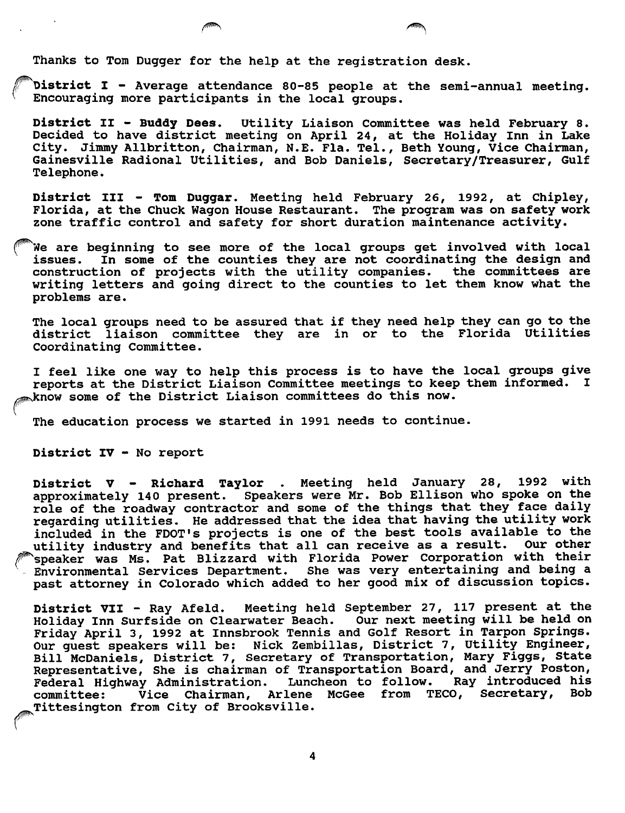Thanks to Tom Dugger for the help at the registration desk.

District I - Average attendance 80-85 people at the semi-annual meeting. Encouraging more participants in the local groups.

District II - Buddy Dees. Utility Liaison Committee was held February 8. Decided to have district meeting on April 24, at the Holiday Inn in Lake City. Jimmy Allbritton, Chairman, N.E. Fla. Tel., Beth Young, Vice Chairman, Gainesville Radional Utilities, and Bob Daniels, Secretary/Treasurer, Gulf Telephone.

District III - Tom Duggar. Meeting held February 26, 1992, at Chipley, Florida, at the Chuck Wagon House Restaurant. The program was on safety work zone traffic control and safety for short duration maintenance activity.

^We are beginning to see more of the local groups get involved with local issues. In some of the counties they are not coordinating the design and construction of projects with the utility companies. the committees are writing letters and going direct to the counties to let them know what the problems are.

The local groups need to be assured that if they need help they can go to the district liaison committee they are in or to the Florida Utilities Coordinating Committee.

I feel like one way to help this process is to have the local groups give reports at the District Liaison Committee meetings to keep them informed. I know some of the District Liaison committees do this now.

The education process we started in 1991 needs to continue.

District IV - No report

t,

District V - Richard Taylor . Meeting held January 28, 1992 with approximately 140 present. Speakers were Mr. Bob Ellison who spoke on the role of the roadway contractor and some of the things that they face daily regarding utilities. He addressed that the idea that having the utility work included in the FDOT's projects is one of the best tools available to the utility industry and benefits that all can receive as a result. Our other ^speaker was Ms. Pat Blizzard with Florida Power Corporation with their Environmental Services Department. She was very entertaining and being a past attorney in Colorado which added to her good mix of discussion topics.

District VII - Ray Afeld. Meeting held September 27, 117 present at the Holiday Inn Surfside on Clearwater Beach. Our next meeting will be held on Friday April 3, 1992 at Innsbrook Tennis and Golf Resort in Tarpon Springs. Our guest speakers will be: Nick Zembillas, District 7, Utility Engineer, Bill McDaniels, District 7, Secretary of Transportation, Mary Figgs, State Representative, She is chairman of Transportation Board, and Jerry Poston,<br>Federal Highway Administration. Luncheon to follow. Ray introduced his Federal Highway Administration. Luncheon to follow. Ray introduced his committee: Vice Chairman, Arlene McGee from TECO, Secretary,<br>Tittesington from City of Brooksville.

 $\overline{\mathbf{4}}$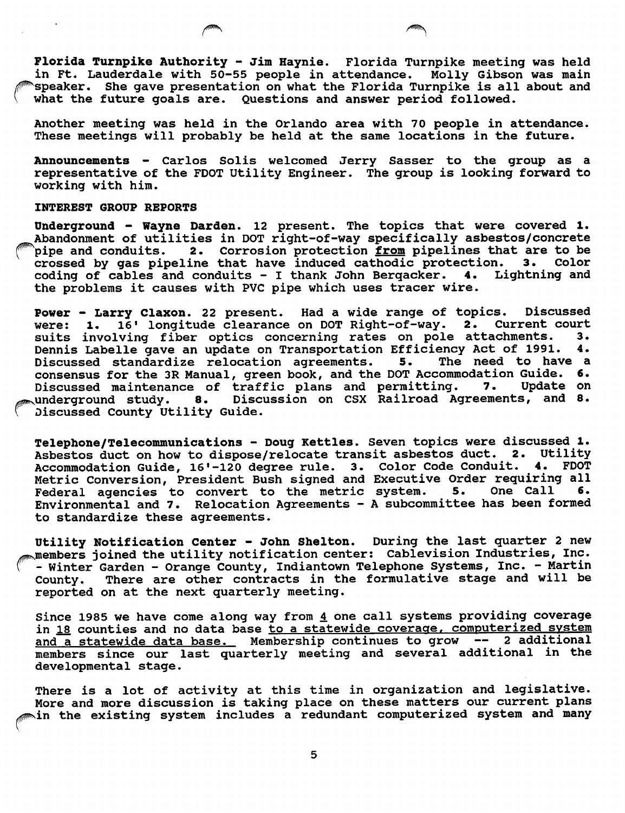Florida Turnpike Authority - Jim Haynie. Florida Turnpike meeting was held in Ft. Lauderdale with 50-55 people in attendance. Molly Gibson was main speaker. She gave presentation on what the Florida Turnpike is all about and what the future goals are. Questions and answer period followed.

Another meeting was held in the Orlando area with 70 people in attendance. These meetings will probably be held at the same locations in the future.

Announcements - Carlos Soils welcomed Jerry Sasser to the group as a representative of the FOOT Utility Engineer. The group is looking forward to working with him.

## INTEREST GROUP REPORTS

Underground - Wayne Darden. 12 present. The topics that were covered 1. Abandonment of utilities in DOT right-of-way specifically asbestos/concrete<br>pipe and conduits. 2. Corrosion protection from pipelines that are to be 2. Corrosion protection <u>from</u> pipelines that are to be<br>eline that have induced cathodic protection. 3. Color crossed by gas pipeline that have induced cathodic protection. 3. Color<br>coding of cables and conduits - I thank John Bergacker. 4. Lightning and coding of cables and conduits - I thank John Bergacker.  $4.$ the problems it causes with PVC pipe which uses tracer wire.

Power - Larry Claxon. 22 present. Had a wide range of topics. Discussed were: 1. 16' longitude clearance on DOT Right-of-way. 2. Current court 16' longitude clearance on DOT Right-of-way. 2. Current court<br>lying fiber optics concerning rates on pole attachments. 3. suits involving fiber optics concerning rates on pole attachments. 3.<br>Dennis Labelle gave an update on Transportation Efficiency Act of 1991. 4. Dennis Labelle gave an update on Transportation Efficiency Act of 1991. 4.<br>Discussed standardize relocation agreements. 5. The need to have a Discussed standardize relocation agreements. consensus for the 3R Manual, green book, and the DOT Accommodation Guide. 6.<br>Discussed maintenance of traffic plans and permitting. 7. Update on Discussed maintenance of traffic plans and permitting. vunderground study. 8. Discussion on CSX Railroad Agreements, and 8. Discussed County Utility Guide.

Telephone/Telecommunications - Doug Kettles. Seven topics were discussed 1. Asbestos duct on how to dispose/relocate transit asbestos duct. 2. Utility<br>Accommodation Guide, 16'-120 degree rule. 3. Color Code Conduit. 4. FDOT Accommodation Guide, 16'-120 degree rule. 3. Color Code Conduit. Metric Conversion, President Bush signed and Executive Order requiring all<br>Federal agencies to convert to the metric system. 5. One Call 6. Federal agencies to convert to the metric system. Environmental and 7. Relocation Agreements - A subcommittee has been formed to standardize these agreements.

Utility Notification Center - John Shelton. During the last quarter 2 new ^members joined the utility notification center: Cablevision Industries, Inc. - Winter Garden - Orange County, Indiantown Telephone Systems, Inc. - Martin<br>County. There are other contracts in the formulative stage and will be There are other contracts in the formulative stage and will be reported on at the next quarterly meeting.

Since 1985 we have come along way from  $4$  one call systems providing coverage in 18 counties and no data base to a statewide coverage, computerized system and a statewide data base. Membership continues to grow -- 2 additional members since our last quarterly meeting and several additional in the developmental stage.

There is a lot of activity at this time in organization and legislative. More and more discussion is taking place on these matters our current plans win the existing system includes a redundant computerized system and many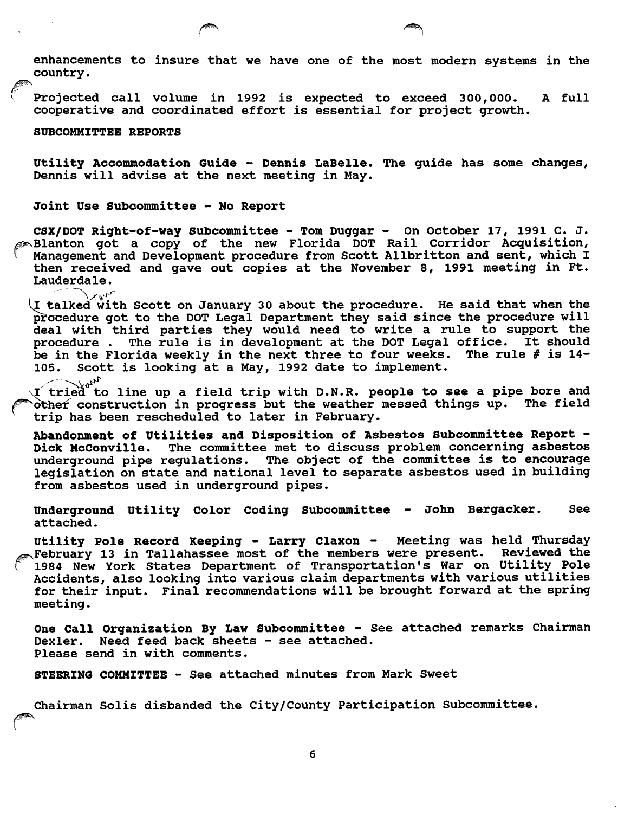enhancements to insure that we have one of the most modern systems in the country.

Projected call volume in 1992 is expected to exceed 300,000. A full cooperative and coordinated effort is essential for project growth.

SUBCOMMITTEE REPORTS

Utility Accommodation Guide - Dennis LaBelle. The guide has some changes, Dennis will advise at the next meeting in May.

Joint Use Subcommittee - No Report

CSX/DOT Right-of-way Subcommittee - Tom Duggar - On October 17, 1991 C. J. **Elanton got a copy of the new Florida DOT Rail Corridor Acquisition,** Management and Development procedure from Scott Allbritton and sent, which I then received and gave out copies at the November 8, 1991 meeting in Ft. Lauderdale.

 $\chi^{\rm vir}_{\rm vir}$  talked with Scott on January 30 about the procedure. He said that when the procedure got to the DOT Legal Department they said since the procedure will deal with third parties they would need to write a rule to support the procedure. The rule is in development at the DOT Legal office. It should The rule is in development at the DOT Legal office. It should<br>rida weekly in the next three to four weeks. The rule  $\#$  is 14be in the Florida weekly in the next three to four weeks.<br>105. Scott is looking at a May, 1992 date to implement. Scott is looking at a May, 1992 date to implement.<br> $\downarrow e^{i\lambda}$ 

**li** tried to line up a field trip with D.N.R. people to see a pipe bore and it is not trip with D.N.R. people to see a pipe bore and<br>`other construction in progress but the weather messed things up. The field  $\delta$  construction in progress but the weather messed things up. trip has been rescheduled to later in February.

Abandonment of Utilities and Disposition of Asbestos Subcommittee Report -<br>Dick McConville. The committee met to discuss problem concerning asbestos The committee met to discuss problem concerning asbestos underground pipe regulations. The object of the committee is to encourage legislation on state and national level to separate asbestos used in building from asbestos used in underground pipes.

Underground Utility Color Coding Subcommittee - John Bergacker. See attached.

Utility Pole Record Keeping - Larry Claxon - Meeting was held Thursday  $\Box$ February 13 in Tallahassee most of the members were present. Reviewed the 1984 New York States Department of Transportation's War on Utility Pole Accidents, also looking into various claim departments with various utilities for their input. Final recommendations will be brought forward at the spring meeting.

One Call Organization By Law Subcommittee - See attached remarks Chairman Dexler. Need feed back sheets - see attached. Please send in with comments.

STEERING COMMITTEE - See attached minutes from Mark Sweet

Chairman Solis disbanded the City/County Participation Subcommittee.

6